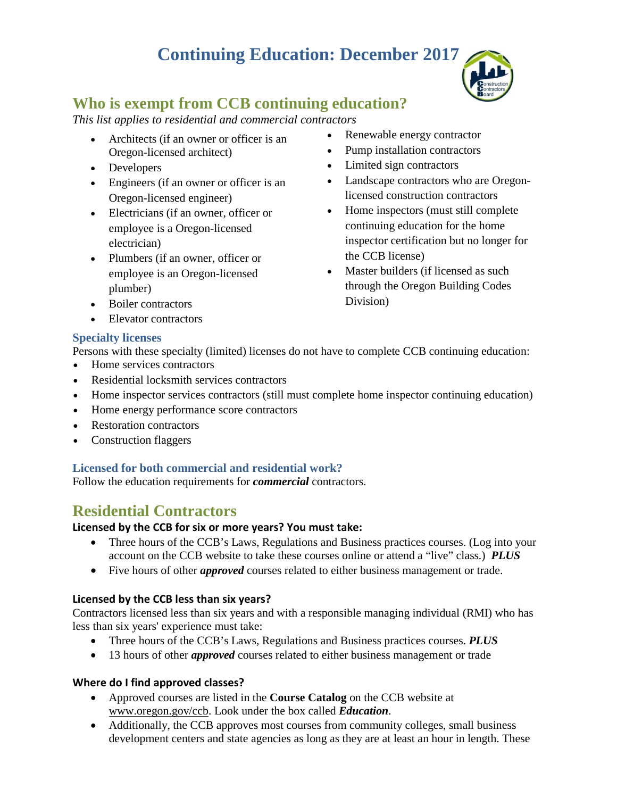# **Continuing Education: December 2017**



## **Who is exempt from CCB continuing education?**

*This list applies to residential and commercial contractors*

- Architects (if an owner or officer is an Oregon-licensed architect)
- Developers
- Engineers (if an owner or officer is an Oregon-licensed engineer)
- Electricians (if an owner, officer or employee is a Oregon-licensed electrician)
- Plumbers (if an owner, officer or employee is an Oregon-licensed plumber)
- Renewable energy contractor
- Pump installation contractors
- Limited sign contractors
- Landscape contractors who are Oregonlicensed construction contractors
- Home inspectors (must still complete continuing education for the home inspector certification but no longer for the CCB license)
- Master builders (if licensed as such through the Oregon Building Codes Division)
- Boiler contractors
- Elevator contractors

## **Specialty licenses**

Persons with these specialty (limited) licenses do not have to complete CCB continuing education:

- Home services contractors
- Residential locksmith services contractors
- Home inspector services contractors (still must complete home inspector continuing education)
- Home energy performance score contractors
- **Restoration contractors**
- Construction flaggers

## **Licensed for both commercial and residential work?**

Follow the education requirements for *commercial* contractors.

# **Residential Contractors**

## **Licensed by the CCB for six or more years? You must take:**

- Three hours of the CCB's Laws, Regulations and Business practices courses. (Log into your account on the CCB website to take these courses online or attend a "live" class.) *PLUS*
- Five hours of other *approved* courses related to either business management or trade.

## **Licensed by the CCB less than six years?**

Contractors licensed less than six years and with a responsible managing individual (RMI) who has less than six years' experience must take:

- Three hours of the CCB's Laws, Regulations and Business practices courses. *PLUS*
- 13 hours of other *approved* courses related to either business management or trade

## **Where do I find approved classes?**

- Approved courses are listed in the **Course Catalog** on the CCB website at www.oregon.gov/ccb. Look under the box called *Education*.
- Additionally, the CCB approves most courses from community colleges, small business development centers and state agencies as long as they are at least an hour in length. These